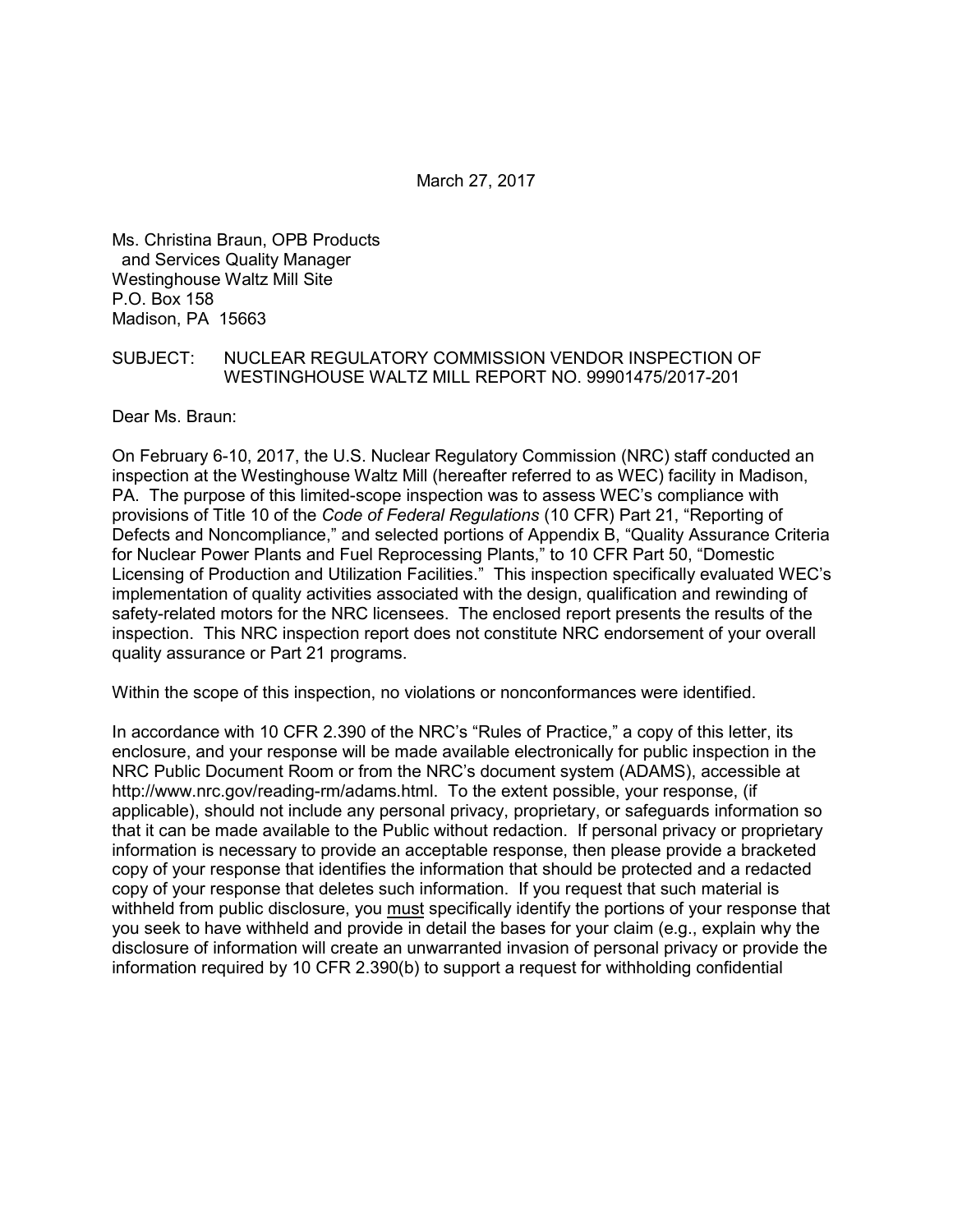March 27, 2017

Ms. Christina Braun, OPB Products and Services Quality Manager Westinghouse Waltz Mill Site P.O. Box 158 Madison, PA 15663

#### SUBJECT: NUCLEAR REGULATORY COMMISSION VENDOR INSPECTION OF WESTINGHOUSE WALTZ MILL REPORT NO. 99901475/2017-201

Dear Ms. Braun:

On February 6-10, 2017, the U.S. Nuclear Regulatory Commission (NRC) staff conducted an inspection at the Westinghouse Waltz Mill (hereafter referred to as WEC) facility in Madison, PA. The purpose of this limited-scope inspection was to assess WEC's compliance with provisions of Title 10 of the *Code of Federal Regulations* (10 CFR) Part 21, "Reporting of Defects and Noncompliance," and selected portions of Appendix B, "Quality Assurance Criteria for Nuclear Power Plants and Fuel Reprocessing Plants," to 10 CFR Part 50, "Domestic Licensing of Production and Utilization Facilities." This inspection specifically evaluated WEC's implementation of quality activities associated with the design, qualification and rewinding of safety-related motors for the NRC licensees. The enclosed report presents the results of the inspection. This NRC inspection report does not constitute NRC endorsement of your overall quality assurance or Part 21 programs.

Within the scope of this inspection, no violations or nonconformances were identified.

In accordance with 10 CFR 2.390 of the NRC's "Rules of Practice," a copy of this letter, its enclosure, and your response will be made available electronically for public inspection in the NRC Public Document Room or from the NRC's document system (ADAMS), accessible at http://www.nrc.gov/reading-rm/adams.html. To the extent possible, your response, (if applicable), should not include any personal privacy, proprietary, or safeguards information so that it can be made available to the Public without redaction. If personal privacy or proprietary information is necessary to provide an acceptable response, then please provide a bracketed copy of your response that identifies the information that should be protected and a redacted copy of your response that deletes such information. If you request that such material is withheld from public disclosure, you must specifically identify the portions of your response that you seek to have withheld and provide in detail the bases for your claim (e.g., explain why the disclosure of information will create an unwarranted invasion of personal privacy or provide the information required by 10 CFR 2.390(b) to support a request for withholding confidential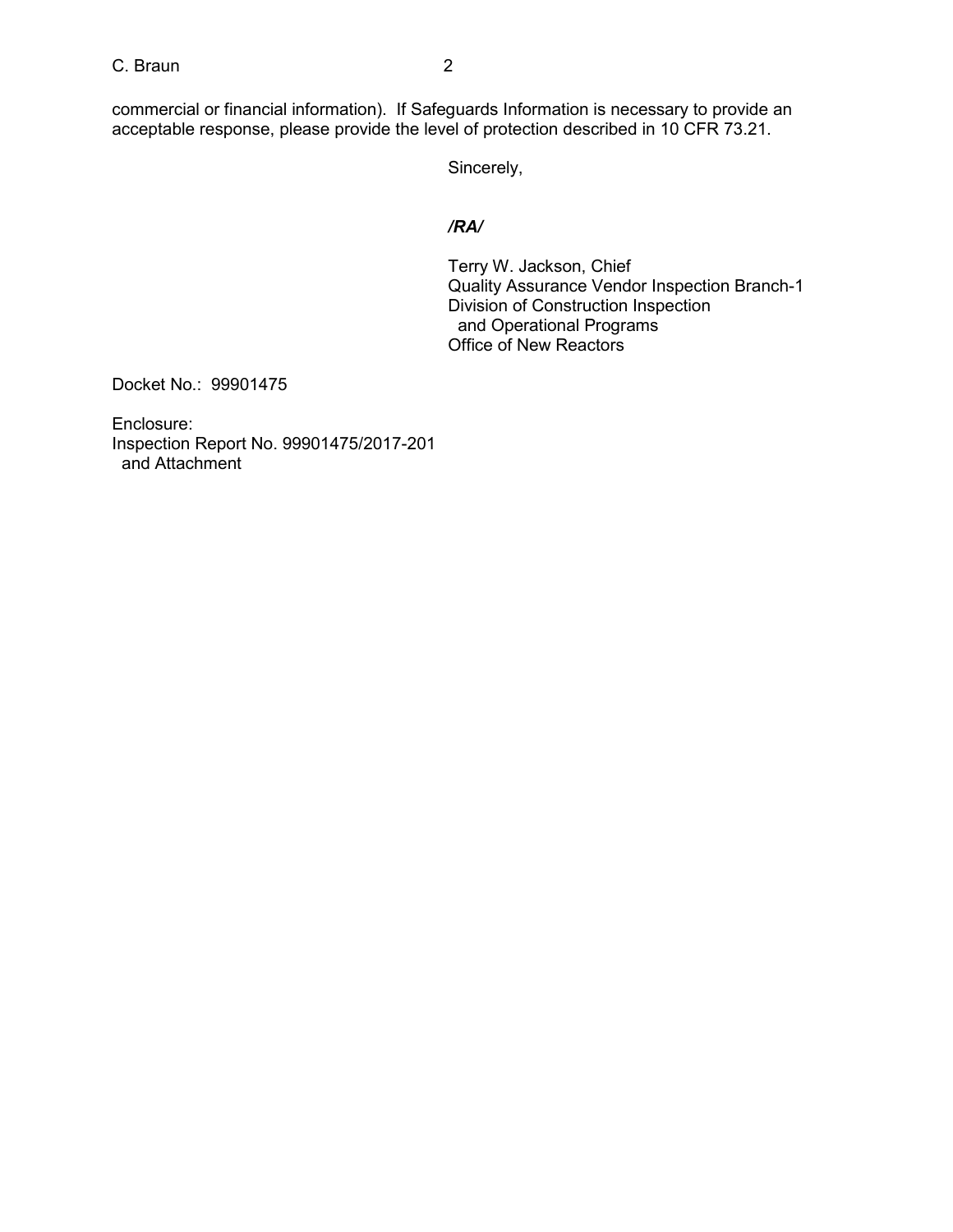C. Braun 2

commercial or financial information). If Safeguards Information is necessary to provide an acceptable response, please provide the level of protection described in 10 CFR 73.21.

Sincerely,

# */RA/*

Terry W. Jackson, Chief Quality Assurance Vendor Inspection Branch-1 Division of Construction Inspection and Operational Programs Office of New Reactors

Docket No.: 99901475

Enclosure: Inspection Report No. 99901475/2017-201 and Attachment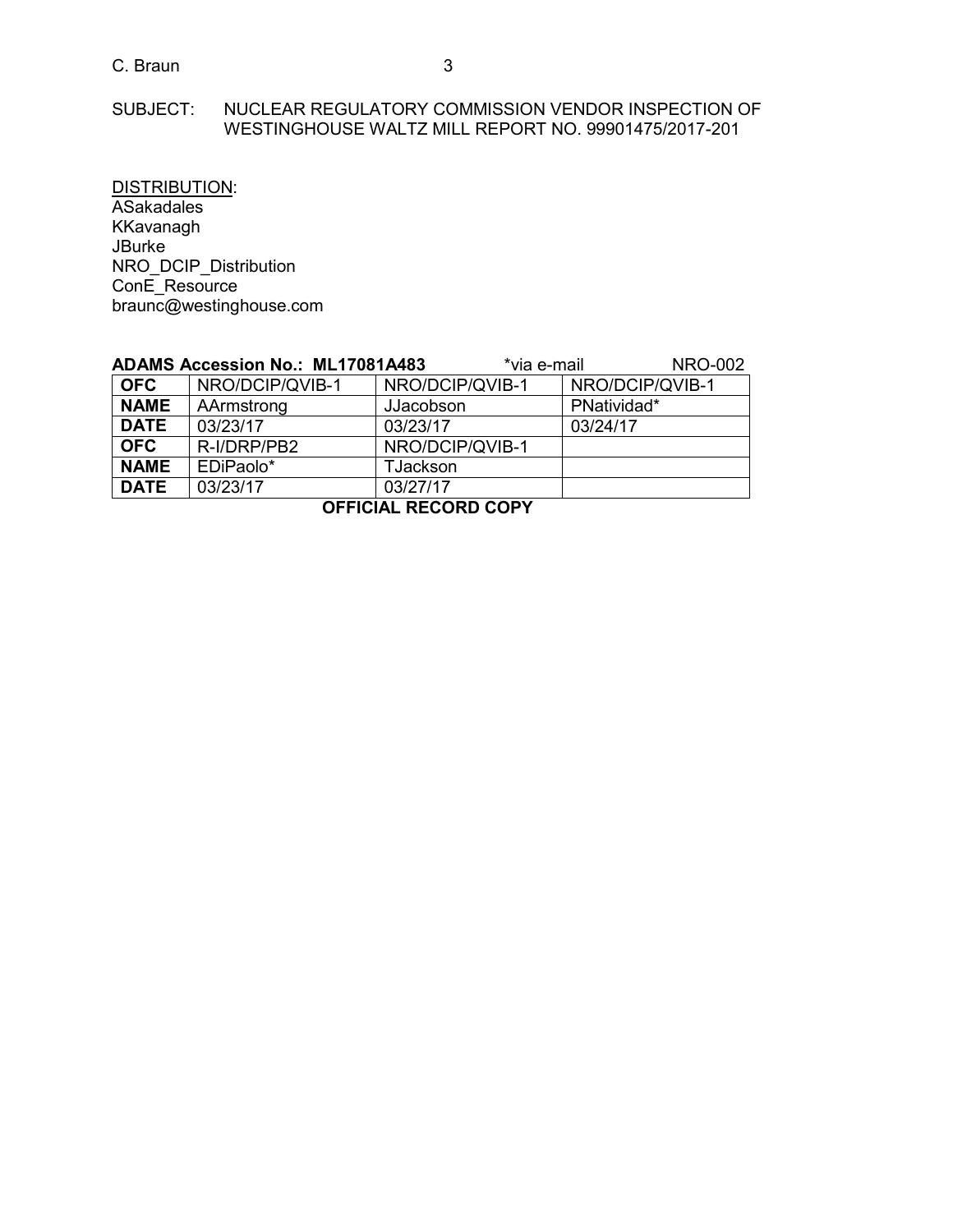# SUBJECT: NUCLEAR REGULATORY COMMISSION VENDOR INSPECTION OF WESTINGHOUSE WALTZ MILL REPORT NO. 99901475/2017-201

DISTRIBUTION: **ASakadales** KKavanagh JBurke NRO\_DCIP\_Distribution ConE\_Resource braunc@westinghouse.com

|                             | ADAMS Accession No.: ML17081A483 |           | *via e-mail     |                 | <b>NRO-002</b> |
|-----------------------------|----------------------------------|-----------|-----------------|-----------------|----------------|
| <b>OFC</b>                  | NRO/DCIP/QVIB-1                  |           | NRO/DCIP/QVIB-1 | NRO/DCIP/QVIB-1 |                |
| <b>NAME</b>                 | AArmstrong                       | JJacobson |                 | PNatividad*     |                |
| <b>DATE</b>                 | 03/23/17                         | 03/23/17  |                 | 03/24/17        |                |
| <b>OFC</b>                  | R-I/DRP/PB2                      |           | NRO/DCIP/QVIB-1 |                 |                |
| <b>NAME</b>                 | EDiPaolo*                        | TJackson  |                 |                 |                |
| <b>DATE</b>                 | 03/23/17                         | 03/27/17  |                 |                 |                |
| <b>OFFICIAL RECORD COPY</b> |                                  |           |                 |                 |                |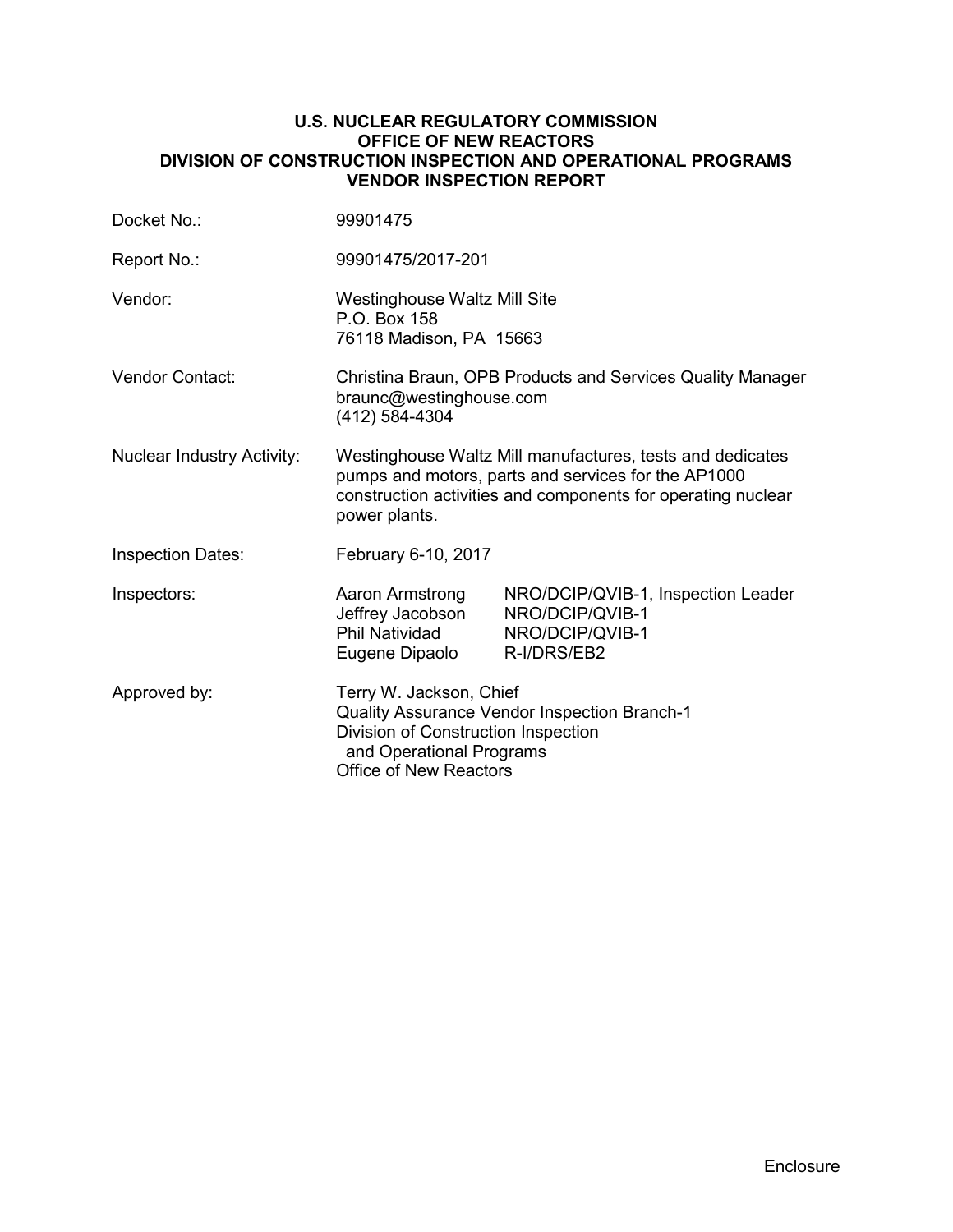## **U.S. NUCLEAR REGULATORY COMMISSION OFFICE OF NEW REACTORS DIVISION OF CONSTRUCTION INSPECTION AND OPERATIONAL PROGRAMS VENDOR INSPECTION REPORT**

| Docket No.:                       | 99901475                                                                                                                                                                                          |                                                                                         |  |
|-----------------------------------|---------------------------------------------------------------------------------------------------------------------------------------------------------------------------------------------------|-----------------------------------------------------------------------------------------|--|
| Report No.:                       | 99901475/2017-201                                                                                                                                                                                 |                                                                                         |  |
| Vendor:                           | <b>Westinghouse Waltz Mill Site</b><br>P.O. Box 158<br>76118 Madison, PA 15663                                                                                                                    |                                                                                         |  |
| <b>Vendor Contact:</b>            | Christina Braun, OPB Products and Services Quality Manager<br>braunc@westinghouse.com<br>(412) 584-4304                                                                                           |                                                                                         |  |
| <b>Nuclear Industry Activity:</b> | Westinghouse Waltz Mill manufactures, tests and dedicates<br>pumps and motors, parts and services for the AP1000<br>construction activities and components for operating nuclear<br>power plants. |                                                                                         |  |
| <b>Inspection Dates:</b>          | February 6-10, 2017                                                                                                                                                                               |                                                                                         |  |
| Inspectors:                       | Aaron Armstrong<br>Jeffrey Jacobson<br><b>Phil Natividad</b><br>Eugene Dipaolo                                                                                                                    | NRO/DCIP/QVIB-1, Inspection Leader<br>NRO/DCIP/QVIB-1<br>NRO/DCIP/QVIB-1<br>R-I/DRS/EB2 |  |
| Approved by:                      | Terry W. Jackson, Chief<br>Quality Assurance Vendor Inspection Branch-1<br>Division of Construction Inspection<br>and Operational Programs<br><b>Office of New Reactors</b>                       |                                                                                         |  |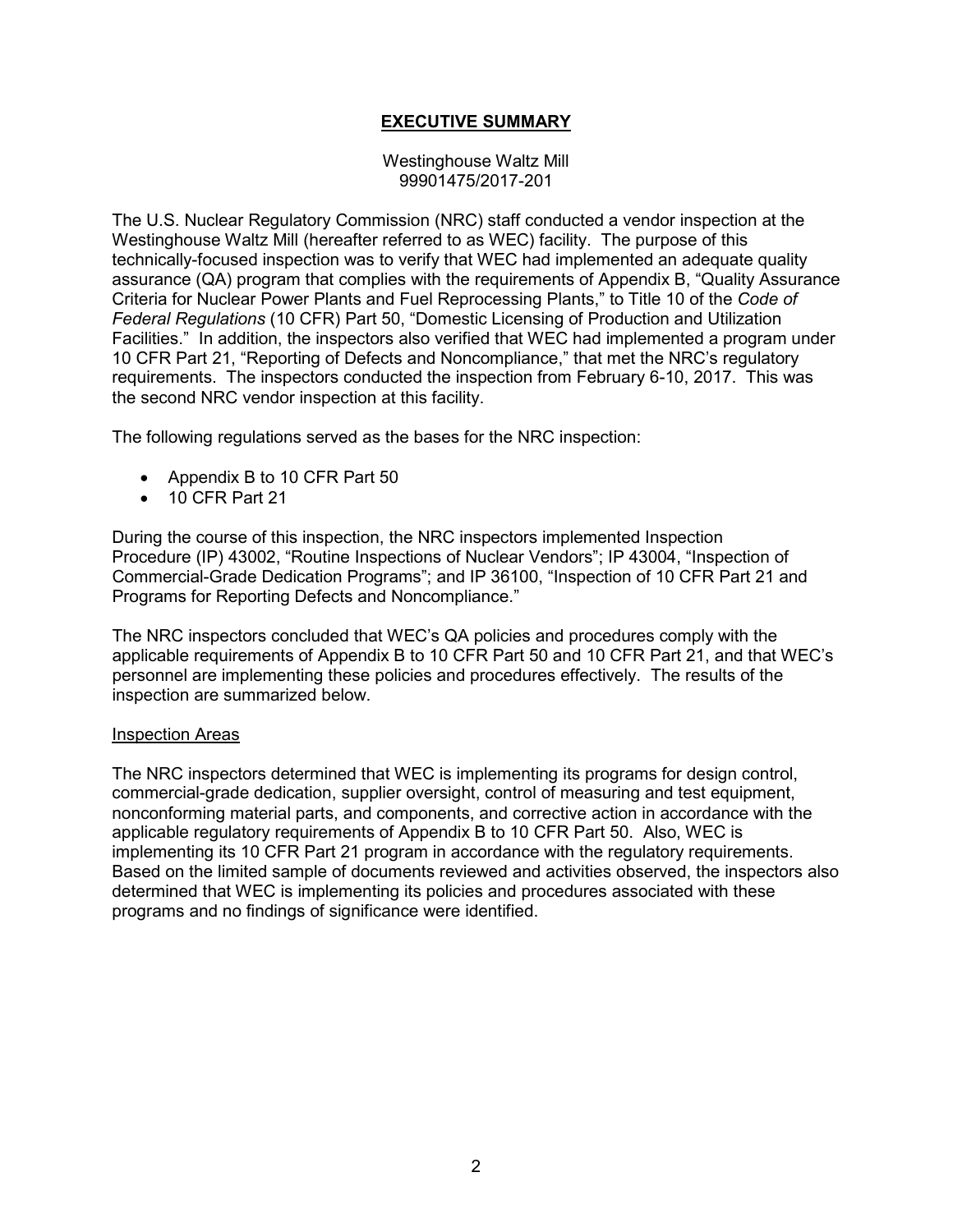# **EXECUTIVE SUMMARY**

Westinghouse Waltz Mill 99901475/2017-201

The U.S. Nuclear Regulatory Commission (NRC) staff conducted a vendor inspection at the Westinghouse Waltz Mill (hereafter referred to as WEC) facility. The purpose of this technically-focused inspection was to verify that WEC had implemented an adequate quality assurance (QA) program that complies with the requirements of Appendix B, "Quality Assurance Criteria for Nuclear Power Plants and Fuel Reprocessing Plants," to Title 10 of the *Code of Federal Regulations* (10 CFR) Part 50, "Domestic Licensing of Production and Utilization Facilities." In addition, the inspectors also verified that WEC had implemented a program under 10 CFR Part 21, "Reporting of Defects and Noncompliance," that met the NRC's regulatory requirements. The inspectors conducted the inspection from February 6-10, 2017. This was the second NRC vendor inspection at this facility.

The following regulations served as the bases for the NRC inspection:

- Appendix B to 10 CFR Part 50
- 10 CFR Part 21

During the course of this inspection, the NRC inspectors implemented Inspection Procedure (IP) 43002, "Routine Inspections of Nuclear Vendors"; IP 43004, "Inspection of Commercial-Grade Dedication Programs"; and IP 36100, "Inspection of 10 CFR Part 21 and Programs for Reporting Defects and Noncompliance."

The NRC inspectors concluded that WEC's QA policies and procedures comply with the applicable requirements of Appendix B to 10 CFR Part 50 and 10 CFR Part 21, and that WEC's personnel are implementing these policies and procedures effectively. The results of the inspection are summarized below.

#### Inspection Areas

The NRC inspectors determined that WEC is implementing its programs for design control, commercial-grade dedication, supplier oversight, control of measuring and test equipment, nonconforming material parts, and components, and corrective action in accordance with the applicable regulatory requirements of Appendix B to 10 CFR Part 50. Also, WEC is implementing its 10 CFR Part 21 program in accordance with the regulatory requirements. Based on the limited sample of documents reviewed and activities observed, the inspectors also determined that WEC is implementing its policies and procedures associated with these programs and no findings of significance were identified.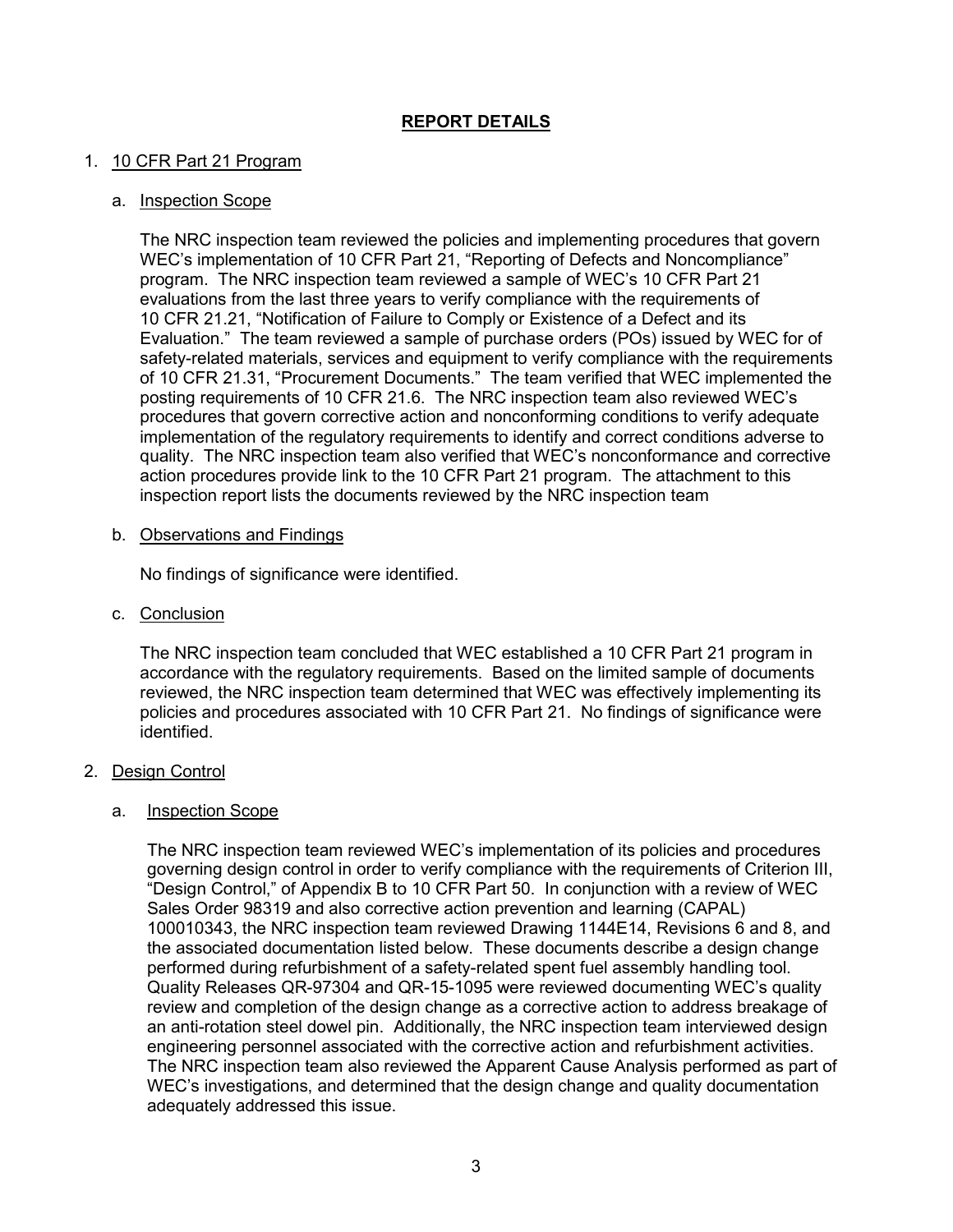# **REPORT DETAILS**

# 1. 10 CFR Part 21 Program

#### a. Inspection Scope

The NRC inspection team reviewed the policies and implementing procedures that govern WEC's implementation of 10 CFR Part 21, "Reporting of Defects and Noncompliance" program. The NRC inspection team reviewed a sample of WEC's 10 CFR Part 21 evaluations from the last three years to verify compliance with the requirements of 10 CFR 21.21, "Notification of Failure to Comply or Existence of a Defect and its Evaluation." The team reviewed a sample of purchase orders (POs) issued by WEC for of safety-related materials, services and equipment to verify compliance with the requirements of 10 CFR 21.31, "Procurement Documents." The team verified that WEC implemented the posting requirements of 10 CFR 21.6. The NRC inspection team also reviewed WEC's procedures that govern corrective action and nonconforming conditions to verify adequate implementation of the regulatory requirements to identify and correct conditions adverse to quality. The NRC inspection team also verified that WEC's nonconformance and corrective action procedures provide link to the 10 CFR Part 21 program. The attachment to this inspection report lists the documents reviewed by the NRC inspection team

## b. Observations and Findings

No findings of significance were identified.

c. Conclusion

The NRC inspection team concluded that WEC established a 10 CFR Part 21 program in accordance with the regulatory requirements. Based on the limited sample of documents reviewed, the NRC inspection team determined that WEC was effectively implementing its policies and procedures associated with 10 CFR Part 21. No findings of significance were identified.

#### 2. Design Control

#### a. Inspection Scope

The NRC inspection team reviewed WEC's implementation of its policies and procedures governing design control in order to verify compliance with the requirements of Criterion III, "Design Control," of Appendix B to 10 CFR Part 50. In conjunction with a review of WEC Sales Order 98319 and also corrective action prevention and learning (CAPAL) 100010343, the NRC inspection team reviewed Drawing 1144E14, Revisions 6 and 8, and the associated documentation listed below. These documents describe a design change performed during refurbishment of a safety-related spent fuel assembly handling tool. Quality Releases QR-97304 and QR-15-1095 were reviewed documenting WEC's quality review and completion of the design change as a corrective action to address breakage of an anti-rotation steel dowel pin. Additionally, the NRC inspection team interviewed design engineering personnel associated with the corrective action and refurbishment activities. The NRC inspection team also reviewed the Apparent Cause Analysis performed as part of WEC's investigations, and determined that the design change and quality documentation adequately addressed this issue.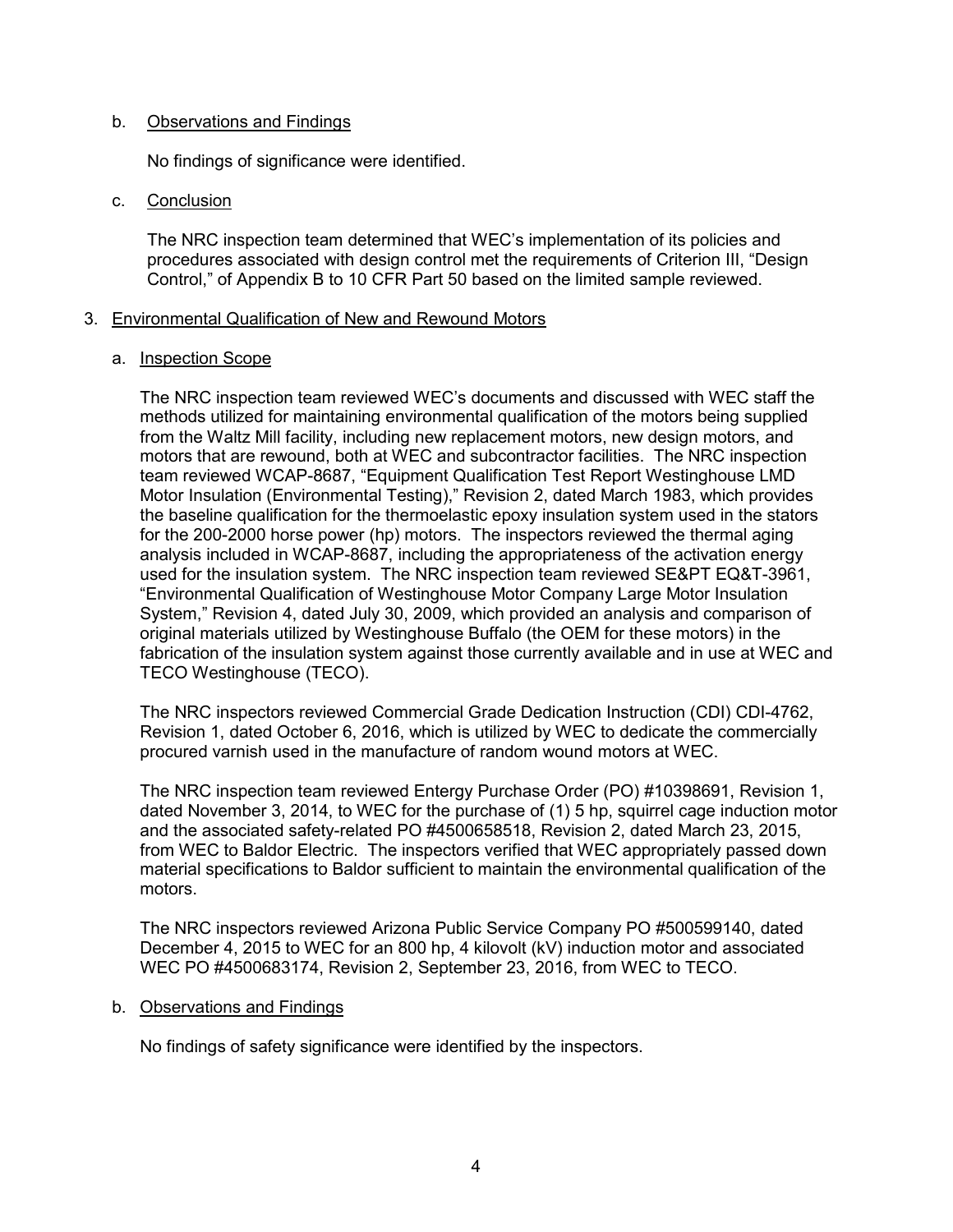## b. Observations and Findings

No findings of significance were identified.

#### c. Conclusion

The NRC inspection team determined that WEC's implementation of its policies and procedures associated with design control met the requirements of Criterion III, "Design Control," of Appendix B to 10 CFR Part 50 based on the limited sample reviewed.

## 3. Environmental Qualification of New and Rewound Motors

## a. Inspection Scope

The NRC inspection team reviewed WEC's documents and discussed with WEC staff the methods utilized for maintaining environmental qualification of the motors being supplied from the Waltz Mill facility, including new replacement motors, new design motors, and motors that are rewound, both at WEC and subcontractor facilities. The NRC inspection team reviewed WCAP-8687, "Equipment Qualification Test Report Westinghouse LMD Motor Insulation (Environmental Testing)," Revision 2, dated March 1983, which provides the baseline qualification for the thermoelastic epoxy insulation system used in the stators for the 200-2000 horse power (hp) motors. The inspectors reviewed the thermal aging analysis included in WCAP-8687, including the appropriateness of the activation energy used for the insulation system. The NRC inspection team reviewed SE&PT EQ&T-3961, "Environmental Qualification of Westinghouse Motor Company Large Motor Insulation System," Revision 4, dated July 30, 2009, which provided an analysis and comparison of original materials utilized by Westinghouse Buffalo (the OEM for these motors) in the fabrication of the insulation system against those currently available and in use at WEC and TECO Westinghouse (TECO).

The NRC inspectors reviewed Commercial Grade Dedication Instruction (CDI) CDI-4762, Revision 1, dated October 6, 2016, which is utilized by WEC to dedicate the commercially procured varnish used in the manufacture of random wound motors at WEC.

The NRC inspection team reviewed Entergy Purchase Order (PO) #10398691, Revision 1, dated November 3, 2014, to WEC for the purchase of (1) 5 hp, squirrel cage induction motor and the associated safety-related PO #4500658518, Revision 2, dated March 23, 2015, from WEC to Baldor Electric. The inspectors verified that WEC appropriately passed down material specifications to Baldor sufficient to maintain the environmental qualification of the motors.

The NRC inspectors reviewed Arizona Public Service Company PO #500599140, dated December 4, 2015 to WEC for an 800 hp, 4 kilovolt (kV) induction motor and associated WEC PO #4500683174, Revision 2, September 23, 2016, from WEC to TECO.

# b. Observations and Findings

No findings of safety significance were identified by the inspectors.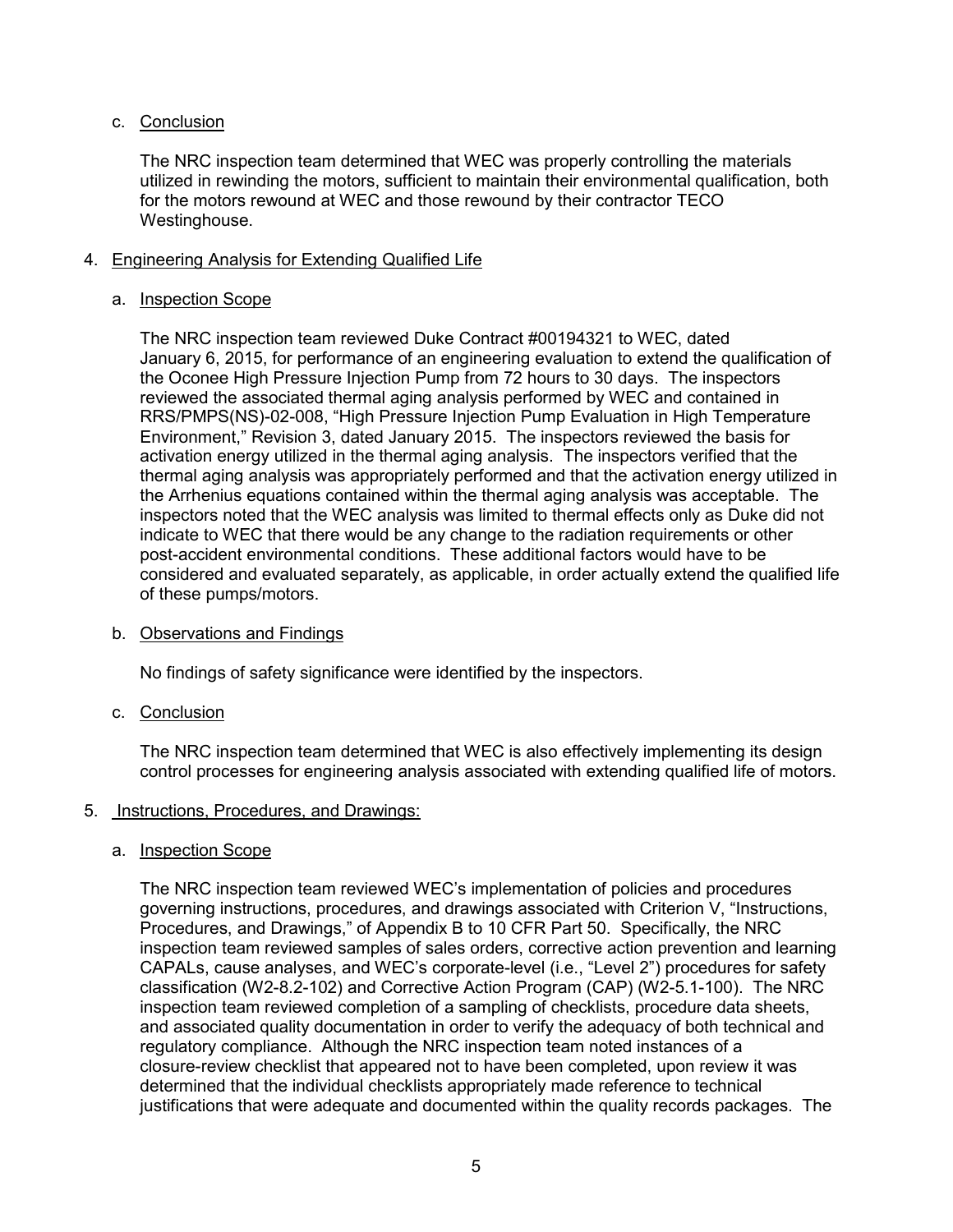# c. Conclusion

The NRC inspection team determined that WEC was properly controlling the materials utilized in rewinding the motors, sufficient to maintain their environmental qualification, both for the motors rewound at WEC and those rewound by their contractor TECO Westinghouse.

# 4. Engineering Analysis for Extending Qualified Life

# a. Inspection Scope

The NRC inspection team reviewed Duke Contract #00194321 to WEC, dated January 6, 2015, for performance of an engineering evaluation to extend the qualification of the Oconee High Pressure Injection Pump from 72 hours to 30 days. The inspectors reviewed the associated thermal aging analysis performed by WEC and contained in RRS/PMPS(NS)-02-008, "High Pressure Injection Pump Evaluation in High Temperature Environment," Revision 3, dated January 2015. The inspectors reviewed the basis for activation energy utilized in the thermal aging analysis. The inspectors verified that the thermal aging analysis was appropriately performed and that the activation energy utilized in the Arrhenius equations contained within the thermal aging analysis was acceptable. The inspectors noted that the WEC analysis was limited to thermal effects only as Duke did not indicate to WEC that there would be any change to the radiation requirements or other post-accident environmental conditions. These additional factors would have to be considered and evaluated separately, as applicable, in order actually extend the qualified life of these pumps/motors.

# b. Observations and Findings

No findings of safety significance were identified by the inspectors.

# c. Conclusion

The NRC inspection team determined that WEC is also effectively implementing its design control processes for engineering analysis associated with extending qualified life of motors.

# 5. Instructions, Procedures, and Drawings:

# a. Inspection Scope

The NRC inspection team reviewed WEC's implementation of policies and procedures governing instructions, procedures, and drawings associated with Criterion V, "Instructions, Procedures, and Drawings," of Appendix B to 10 CFR Part 50. Specifically, the NRC inspection team reviewed samples of sales orders, corrective action prevention and learning CAPALs, cause analyses, and WEC's corporate-level (i.e., "Level 2") procedures for safety classification (W2-8.2-102) and Corrective Action Program (CAP) (W2-5.1-100). The NRC inspection team reviewed completion of a sampling of checklists, procedure data sheets, and associated quality documentation in order to verify the adequacy of both technical and regulatory compliance. Although the NRC inspection team noted instances of a closure-review checklist that appeared not to have been completed, upon review it was determined that the individual checklists appropriately made reference to technical justifications that were adequate and documented within the quality records packages. The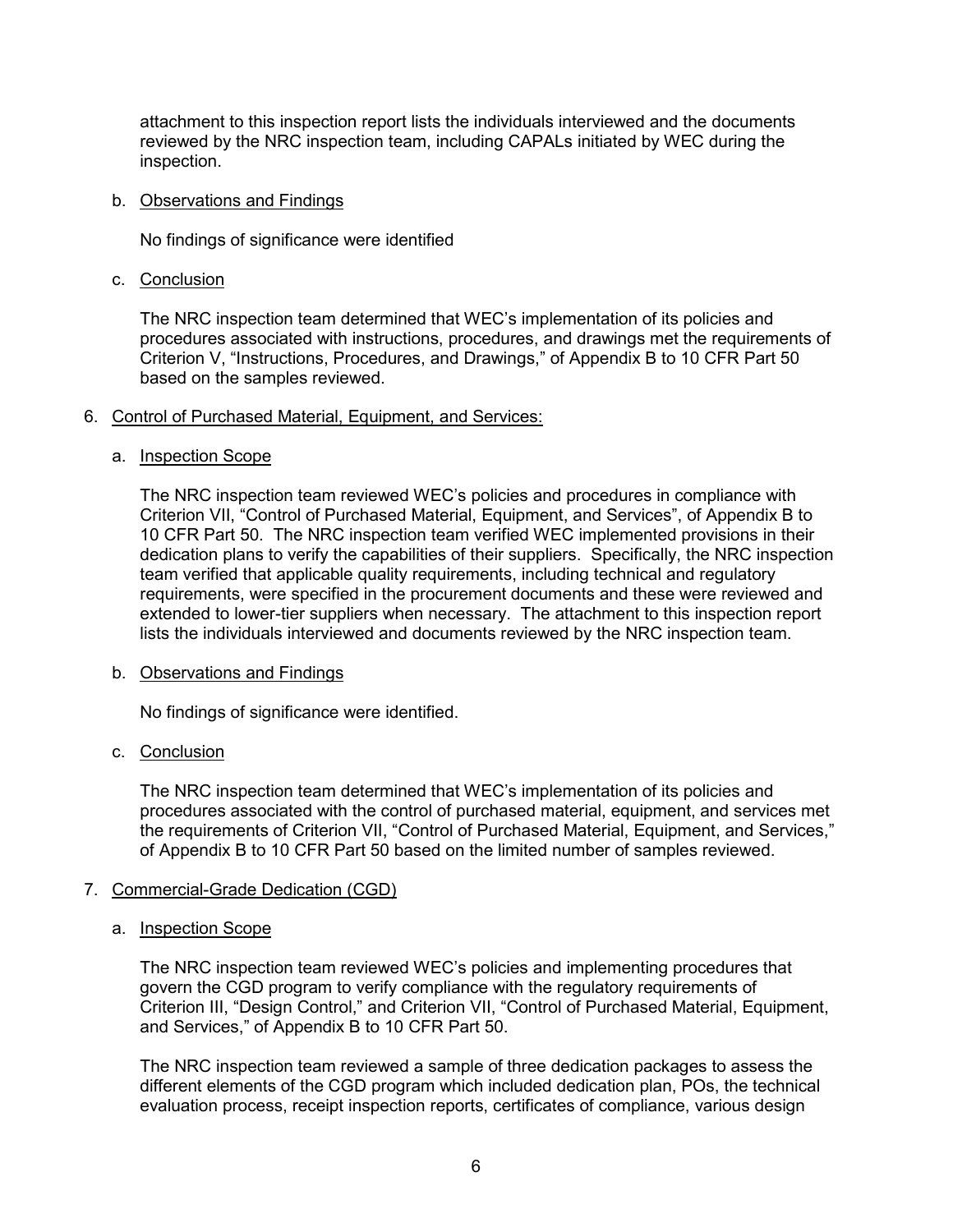attachment to this inspection report lists the individuals interviewed and the documents reviewed by the NRC inspection team, including CAPALs initiated by WEC during the inspection.

#### b. Observations and Findings

No findings of significance were identified

c. Conclusion

The NRC inspection team determined that WEC's implementation of its policies and procedures associated with instructions, procedures, and drawings met the requirements of Criterion V, "Instructions, Procedures, and Drawings," of Appendix B to 10 CFR Part 50 based on the samples reviewed.

## 6. Control of Purchased Material, Equipment, and Services:

## a. Inspection Scope

The NRC inspection team reviewed WEC's policies and procedures in compliance with Criterion VII, "Control of Purchased Material, Equipment, and Services", of Appendix B to 10 CFR Part 50. The NRC inspection team verified WEC implemented provisions in their dedication plans to verify the capabilities of their suppliers. Specifically, the NRC inspection team verified that applicable quality requirements, including technical and regulatory requirements, were specified in the procurement documents and these were reviewed and extended to lower-tier suppliers when necessary. The attachment to this inspection report lists the individuals interviewed and documents reviewed by the NRC inspection team.

#### b. Observations and Findings

No findings of significance were identified.

# c. Conclusion

The NRC inspection team determined that WEC's implementation of its policies and procedures associated with the control of purchased material, equipment, and services met the requirements of Criterion VII, "Control of Purchased Material, Equipment, and Services," of Appendix B to 10 CFR Part 50 based on the limited number of samples reviewed.

# 7. Commercial-Grade Dedication (CGD)

#### a. Inspection Scope

The NRC inspection team reviewed WEC's policies and implementing procedures that govern the CGD program to verify compliance with the regulatory requirements of Criterion III, "Design Control," and Criterion VII, "Control of Purchased Material, Equipment, and Services," of Appendix B to 10 CFR Part 50.

The NRC inspection team reviewed a sample of three dedication packages to assess the different elements of the CGD program which included dedication plan, POs, the technical evaluation process, receipt inspection reports, certificates of compliance, various design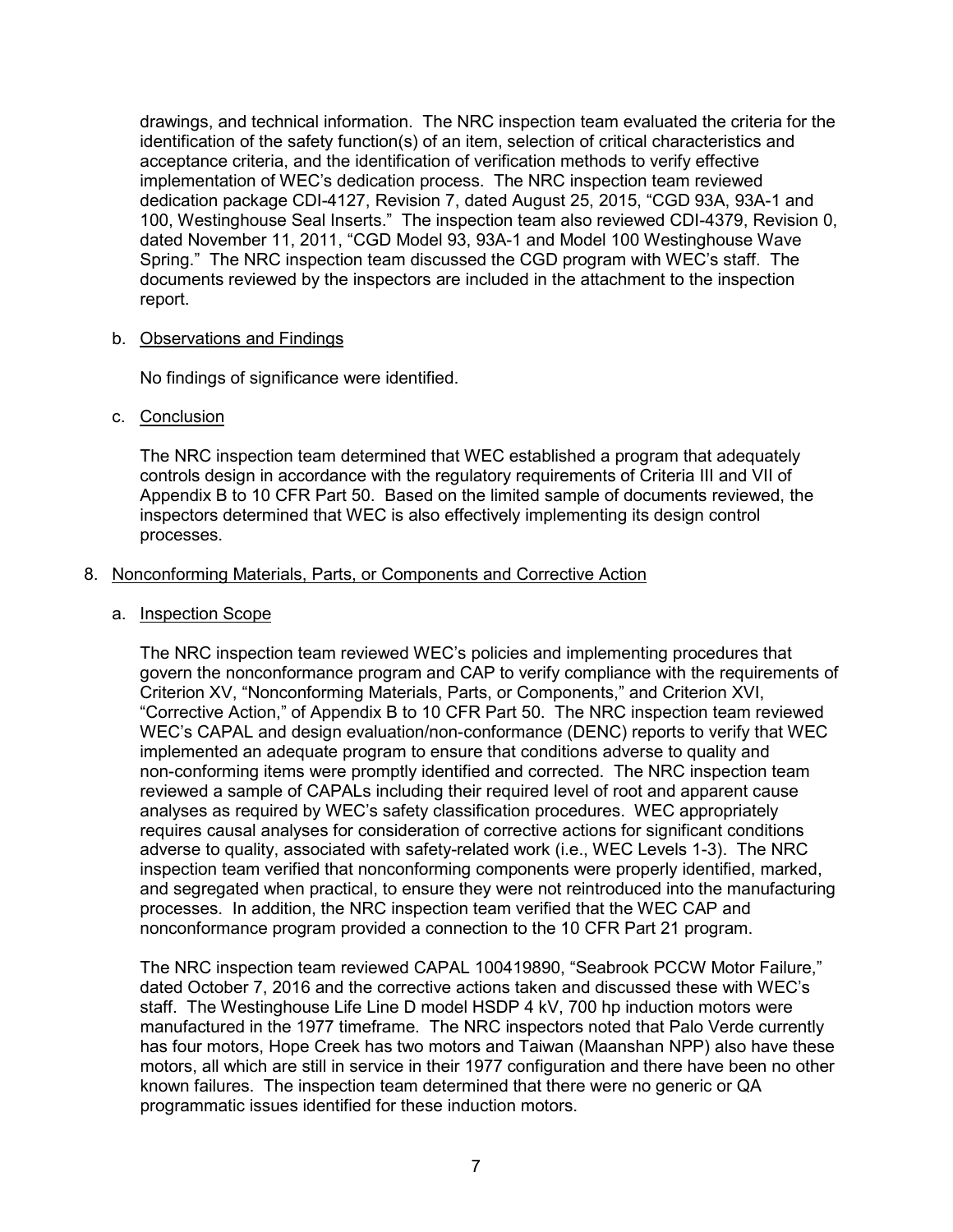drawings, and technical information. The NRC inspection team evaluated the criteria for the identification of the safety function(s) of an item, selection of critical characteristics and acceptance criteria, and the identification of verification methods to verify effective implementation of WEC's dedication process. The NRC inspection team reviewed dedication package CDI-4127, Revision 7, dated August 25, 2015, "CGD 93A, 93A-1 and 100, Westinghouse Seal Inserts." The inspection team also reviewed CDI-4379, Revision 0, dated November 11, 2011, "CGD Model 93, 93A-1 and Model 100 Westinghouse Wave Spring." The NRC inspection team discussed the CGD program with WEC's staff. The documents reviewed by the inspectors are included in the attachment to the inspection report.

## b. Observations and Findings

No findings of significance were identified.

## c. Conclusion

The NRC inspection team determined that WEC established a program that adequately controls design in accordance with the regulatory requirements of Criteria III and VII of Appendix B to 10 CFR Part 50. Based on the limited sample of documents reviewed, the inspectors determined that WEC is also effectively implementing its design control processes.

## 8. Nonconforming Materials, Parts, or Components and Corrective Action

a. Inspection Scope

The NRC inspection team reviewed WEC's policies and implementing procedures that govern the nonconformance program and CAP to verify compliance with the requirements of Criterion XV, "Nonconforming Materials, Parts, or Components," and Criterion XVI, "Corrective Action," of Appendix B to 10 CFR Part 50. The NRC inspection team reviewed WEC's CAPAL and design evaluation/non-conformance (DENC) reports to verify that WEC implemented an adequate program to ensure that conditions adverse to quality and non-conforming items were promptly identified and corrected. The NRC inspection team reviewed a sample of CAPALs including their required level of root and apparent cause analyses as required by WEC's safety classification procedures. WEC appropriately requires causal analyses for consideration of corrective actions for significant conditions adverse to quality, associated with safety-related work (i.e., WEC Levels 1-3). The NRC inspection team verified that nonconforming components were properly identified, marked, and segregated when practical, to ensure they were not reintroduced into the manufacturing processes. In addition, the NRC inspection team verified that the WEC CAP and nonconformance program provided a connection to the 10 CFR Part 21 program.

The NRC inspection team reviewed CAPAL 100419890, "Seabrook PCCW Motor Failure," dated October 7, 2016 and the corrective actions taken and discussed these with WEC's staff. The Westinghouse Life Line D model HSDP 4 kV, 700 hp induction motors were manufactured in the 1977 timeframe. The NRC inspectors noted that Palo Verde currently has four motors, Hope Creek has two motors and Taiwan (Maanshan NPP) also have these motors, all which are still in service in their 1977 configuration and there have been no other known failures. The inspection team determined that there were no generic or QA programmatic issues identified for these induction motors.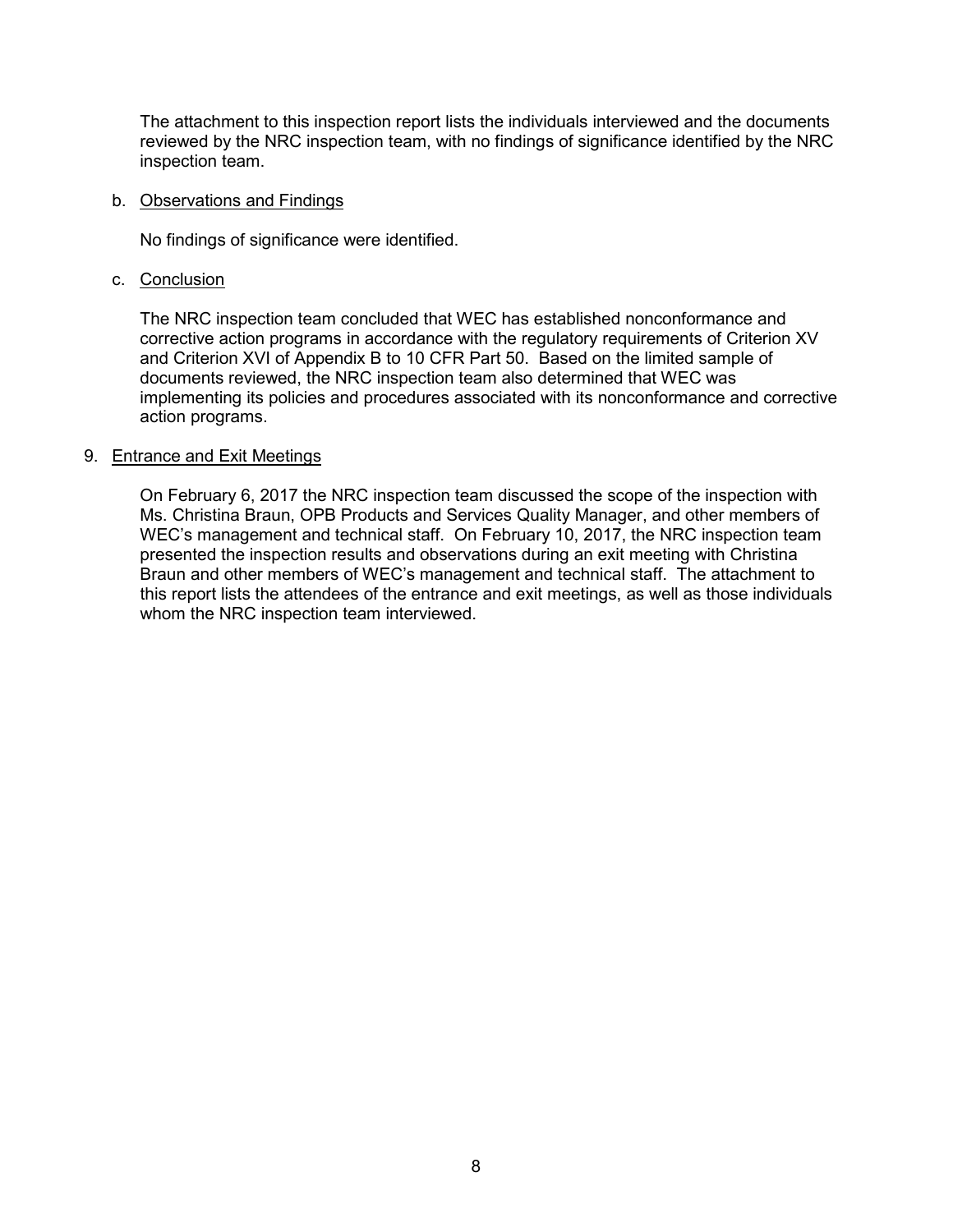The attachment to this inspection report lists the individuals interviewed and the documents reviewed by the NRC inspection team, with no findings of significance identified by the NRC inspection team.

#### b. Observations and Findings

No findings of significance were identified.

c. Conclusion

The NRC inspection team concluded that WEC has established nonconformance and corrective action programs in accordance with the regulatory requirements of Criterion XV and Criterion XVI of Appendix B to 10 CFR Part 50. Based on the limited sample of documents reviewed, the NRC inspection team also determined that WEC was implementing its policies and procedures associated with its nonconformance and corrective action programs.

## 9. Entrance and Exit Meetings

On February 6, 2017 the NRC inspection team discussed the scope of the inspection with Ms. Christina Braun, OPB Products and Services Quality Manager, and other members of WEC's management and technical staff. On February 10, 2017, the NRC inspection team presented the inspection results and observations during an exit meeting with Christina Braun and other members of WEC's management and technical staff. The attachment to this report lists the attendees of the entrance and exit meetings, as well as those individuals whom the NRC inspection team interviewed.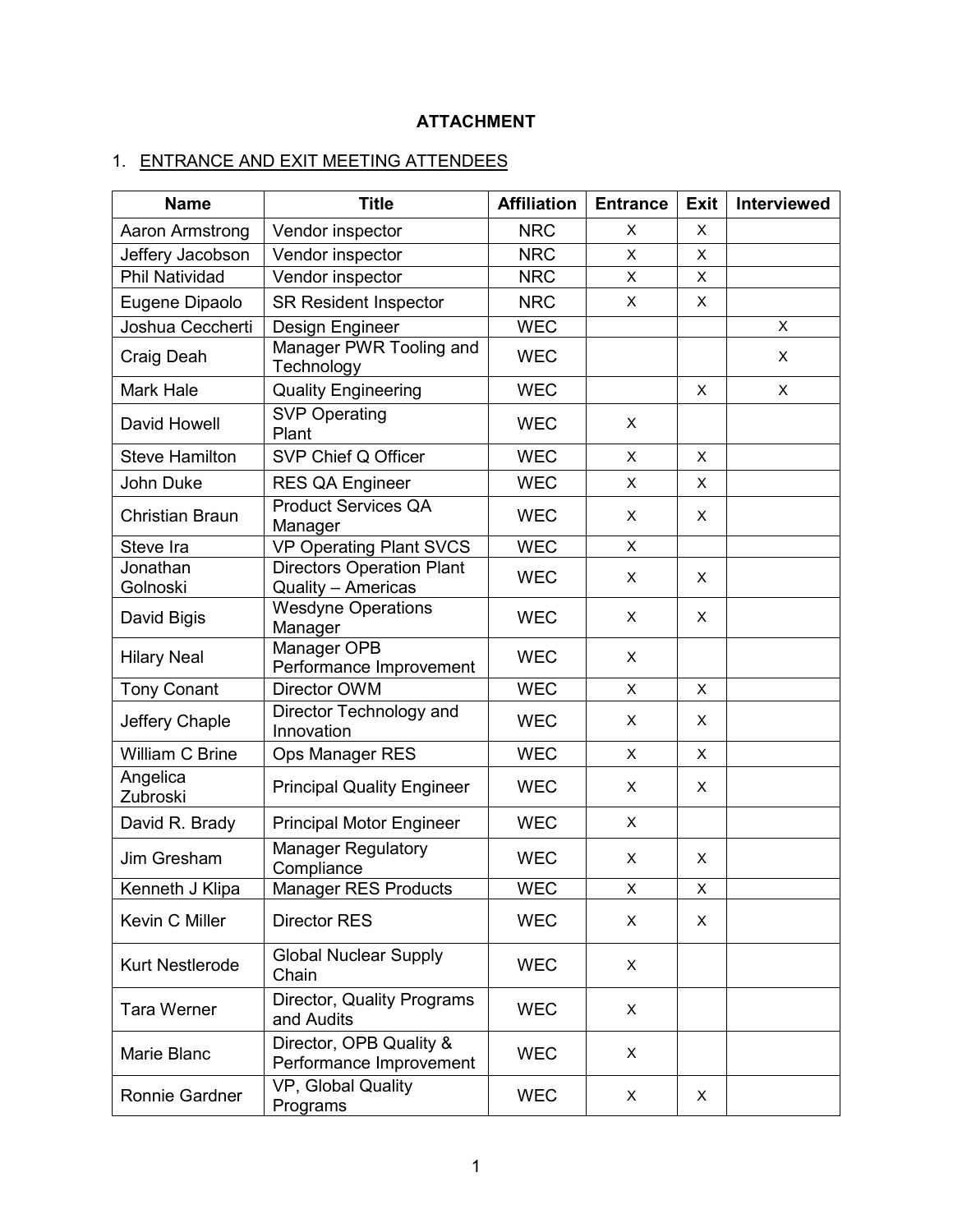# **ATTACHMENT**

# 1. ENTRANCE AND EXIT MEETING ATTENDEES

| <b>Name</b>             | <b>Title</b>                                               | <b>Affiliation</b> | <b>Entrance</b> | Exit | Interviewed |
|-------------------------|------------------------------------------------------------|--------------------|-----------------|------|-------------|
| Aaron Armstrong         | Vendor inspector                                           | <b>NRC</b>         | X               | X    |             |
| Jeffery Jacobson        | Vendor inspector                                           | <b>NRC</b>         | X               | X    |             |
| Phil Natividad          | Vendor inspector                                           | <b>NRC</b>         | X               | X    |             |
| Eugene Dipaolo          | <b>SR Resident Inspector</b>                               | <b>NRC</b>         | X               | X    |             |
| Joshua Ceccherti        | Design Engineer                                            | <b>WEC</b>         |                 |      | X           |
| Craig Deah              | Manager PWR Tooling and<br>Technology                      | <b>WEC</b>         |                 |      | X           |
| <b>Mark Hale</b>        | <b>Quality Engineering</b>                                 | <b>WEC</b>         |                 | X    | X           |
| David Howell            | <b>SVP Operating</b><br>Plant                              | <b>WEC</b>         | X               |      |             |
| <b>Steve Hamilton</b>   | SVP Chief Q Officer                                        | <b>WEC</b>         | X               | X    |             |
| John Duke               | RES QA Engineer                                            | <b>WEC</b>         | $\mathsf{X}$    | X    |             |
| <b>Christian Braun</b>  | <b>Product Services QA</b><br>Manager                      | <b>WEC</b>         | X               | X    |             |
| Steve Ira               | <b>VP Operating Plant SVCS</b>                             | <b>WEC</b>         | X               |      |             |
| Jonathan                | <b>Directors Operation Plant</b>                           | <b>WEC</b>         | $\pmb{\times}$  | X    |             |
| Golnoski<br>David Bigis | Quality - Americas<br><b>Wesdyne Operations</b><br>Manager | <b>WEC</b>         | X               | X    |             |
| <b>Hilary Neal</b>      | Manager OPB<br>Performance Improvement                     | <b>WEC</b>         | X               |      |             |
| <b>Tony Conant</b>      | Director OWM                                               | <b>WEC</b>         | X               | X    |             |
| Jeffery Chaple          | Director Technology and<br>Innovation                      | <b>WEC</b>         | X               | X    |             |
| William C Brine         | Ops Manager RES                                            | <b>WEC</b>         | X               | X    |             |
| Angelica<br>Zubroski    | <b>Principal Quality Engineer</b>                          | <b>WEC</b>         | X               | X    |             |
| David R. Brady          | <b>Principal Motor Engineer</b>                            | <b>WEC</b>         | X               |      |             |
| Jim Gresham             | Manager Regulatory<br>Compliance                           | <b>WEC</b>         | X               | X    |             |
| Kenneth J Klipa         | Manager RES Products                                       | <b>WEC</b>         | X.              | х    |             |
| Kevin C Miller          | <b>Director RES</b>                                        | <b>WEC</b>         | X               | X    |             |
| Kurt Nestlerode         | <b>Global Nuclear Supply</b><br>Chain                      | <b>WEC</b>         | X               |      |             |
| <b>Tara Werner</b>      | Director, Quality Programs<br>and Audits                   | <b>WEC</b>         | X               |      |             |
| Marie Blanc             | Director, OPB Quality &<br>Performance Improvement         | <b>WEC</b>         | X               |      |             |
| Ronnie Gardner          | VP, Global Quality<br>Programs                             | <b>WEC</b>         | X               | Χ    |             |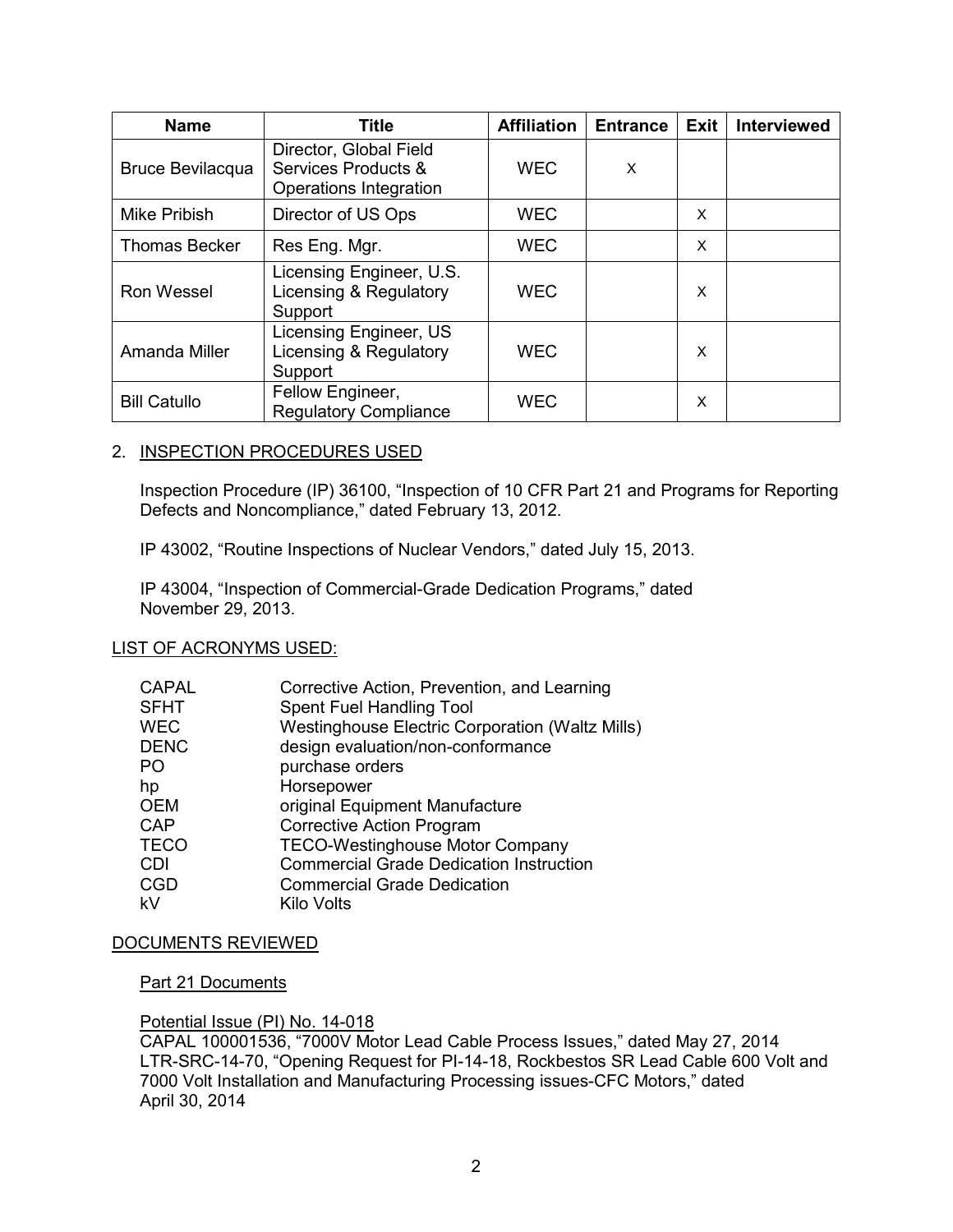| <b>Name</b>             | <b>Title</b>                                                            | <b>Affiliation</b> | <b>Entrance</b> | <b>Exit</b> | <b>Interviewed</b> |
|-------------------------|-------------------------------------------------------------------------|--------------------|-----------------|-------------|--------------------|
| <b>Bruce Bevilacqua</b> | Director, Global Field<br>Services Products &<br>Operations Integration | <b>WEC</b>         | X               |             |                    |
| <b>Mike Pribish</b>     | Director of US Ops                                                      | <b>WEC</b>         |                 | X           |                    |
| <b>Thomas Becker</b>    | Res Eng. Mgr.                                                           | <b>WEC</b>         |                 | X           |                    |
| <b>Ron Wessel</b>       | Licensing Engineer, U.S.<br>Licensing & Regulatory<br>Support           | <b>WEC</b>         |                 | X           |                    |
| Amanda Miller           | Licensing Engineer, US<br>Licensing & Regulatory<br>Support             | <b>WEC</b>         |                 | X           |                    |
| <b>Bill Catullo</b>     | Fellow Engineer,<br><b>Regulatory Compliance</b>                        | <b>WEC</b>         |                 | X           |                    |

# 2. INSPECTION PROCEDURES USED

Inspection Procedure (IP) 36100, "Inspection of 10 CFR Part 21 and Programs for Reporting Defects and Noncompliance," dated February 13, 2012.

IP 43002, "Routine Inspections of Nuclear Vendors," dated July 15, 2013.

IP 43004, "Inspection of Commercial-Grade Dedication Programs," dated November 29, 2013.

#### LIST OF ACRONYMS USED:

| <b>CAPAL</b> | Corrective Action, Prevention, and Learning            |
|--------------|--------------------------------------------------------|
| <b>SFHT</b>  | Spent Fuel Handling Tool                               |
| <b>WEC</b>   | <b>Westinghouse Electric Corporation (Waltz Mills)</b> |
| <b>DENC</b>  | design evaluation/non-conformance                      |
| PO           | purchase orders                                        |
| hp           | Horsepower                                             |
| <b>OEM</b>   | original Equipment Manufacture                         |
| <b>CAP</b>   | <b>Corrective Action Program</b>                       |
| <b>TECO</b>  | <b>TECO-Westinghouse Motor Company</b>                 |
| <b>CDI</b>   | <b>Commercial Grade Dedication Instruction</b>         |
| <b>CGD</b>   | <b>Commercial Grade Dedication</b>                     |
| kV           | Kilo Volts                                             |

# DOCUMENTS REVIEWED

#### Part 21 Documents

#### Potential Issue (PI) No. 14-018

CAPAL 100001536, "7000V Motor Lead Cable Process Issues," dated May 27, 2014 LTR-SRC-14-70, "Opening Request for PI-14-18, Rockbestos SR Lead Cable 600 Volt and 7000 Volt Installation and Manufacturing Processing issues-CFC Motors," dated April 30, 2014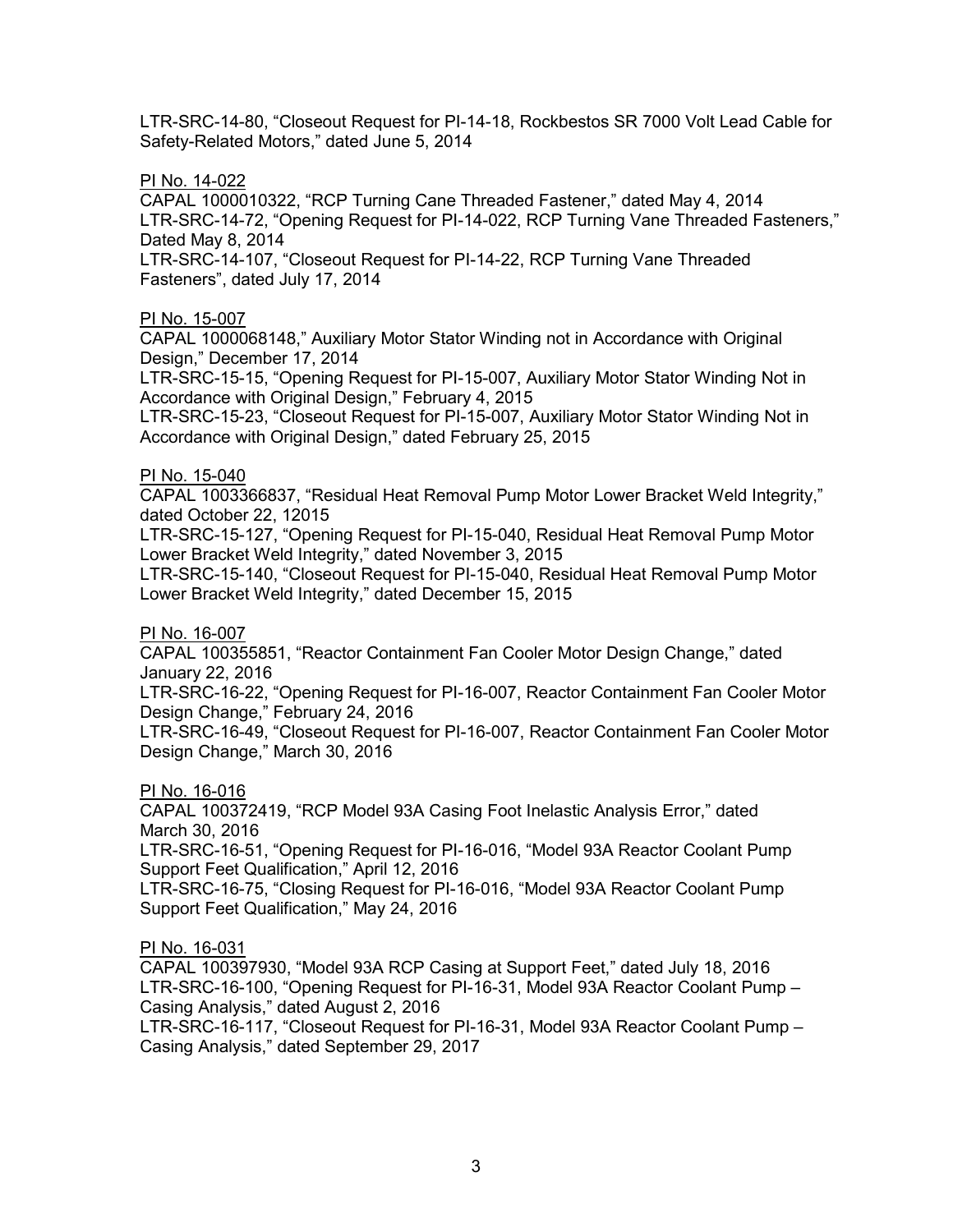LTR-SRC-14-80, "Closeout Request for PI-14-18, Rockbestos SR 7000 Volt Lead Cable for Safety-Related Motors," dated June 5, 2014

## PI No. 14-022

CAPAL 1000010322, "RCP Turning Cane Threaded Fastener," dated May 4, 2014 LTR-SRC-14-72, "Opening Request for PI-14-022, RCP Turning Vane Threaded Fasteners," Dated May 8, 2014

LTR-SRC-14-107, "Closeout Request for PI-14-22, RCP Turning Vane Threaded Fasteners", dated July 17, 2014

#### PI No. 15-007

CAPAL 1000068148," Auxiliary Motor Stator Winding not in Accordance with Original Design," December 17, 2014

LTR-SRC-15-15, "Opening Request for PI-15-007, Auxiliary Motor Stator Winding Not in Accordance with Original Design," February 4, 2015

LTR-SRC-15-23, "Closeout Request for PI-15-007, Auxiliary Motor Stator Winding Not in Accordance with Original Design," dated February 25, 2015

## PI No. 15-040

CAPAL 1003366837, "Residual Heat Removal Pump Motor Lower Bracket Weld Integrity," dated October 22, 12015

LTR-SRC-15-127, "Opening Request for PI-15-040, Residual Heat Removal Pump Motor Lower Bracket Weld Integrity," dated November 3, 2015

LTR-SRC-15-140, "Closeout Request for PI-15-040, Residual Heat Removal Pump Motor Lower Bracket Weld Integrity," dated December 15, 2015

#### PI No. 16-007

CAPAL 100355851, "Reactor Containment Fan Cooler Motor Design Change," dated January 22, 2016

LTR-SRC-16-22, "Opening Request for PI-16-007, Reactor Containment Fan Cooler Motor Design Change," February 24, 2016

LTR-SRC-16-49, "Closeout Request for PI-16-007, Reactor Containment Fan Cooler Motor Design Change," March 30, 2016

#### PI No. 16-016

CAPAL 100372419, "RCP Model 93A Casing Foot Inelastic Analysis Error," dated March 30, 2016

LTR-SRC-16-51, "Opening Request for PI-16-016, "Model 93A Reactor Coolant Pump Support Feet Qualification," April 12, 2016

LTR-SRC-16-75, "Closing Request for PI-16-016, "Model 93A Reactor Coolant Pump Support Feet Qualification," May 24, 2016

# PI No. 16-031

CAPAL 100397930, "Model 93A RCP Casing at Support Feet," dated July 18, 2016 LTR-SRC-16-100, "Opening Request for PI-16-31, Model 93A Reactor Coolant Pump – Casing Analysis," dated August 2, 2016

LTR-SRC-16-117, "Closeout Request for PI-16-31, Model 93A Reactor Coolant Pump – Casing Analysis," dated September 29, 2017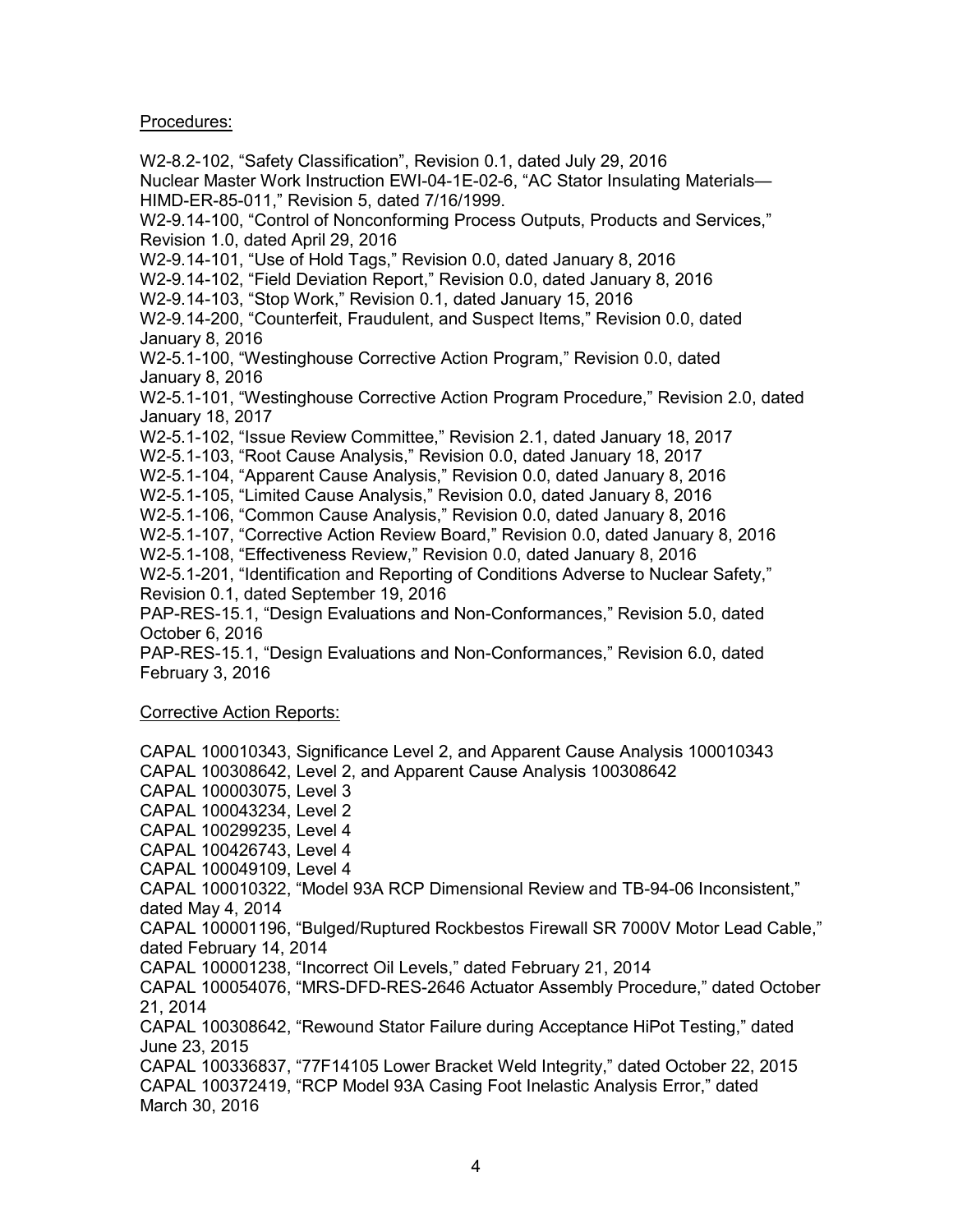## Procedures:

W2-8.2-102, "Safety Classification", Revision 0.1, dated July 29, 2016 Nuclear Master Work Instruction EWI-04-1E-02-6, "AC Stator Insulating Materials— HIMD-ER-85-011," Revision 5, dated 7/16/1999. W2-9.14-100, "Control of Nonconforming Process Outputs, Products and Services," Revision 1.0, dated April 29, 2016 W2-9.14-101, "Use of Hold Tags," Revision 0.0, dated January 8, 2016 W2-9.14-102, "Field Deviation Report," Revision 0.0, dated January 8, 2016 W2-9.14-103, "Stop Work," Revision 0.1, dated January 15, 2016 W2-9.14-200, "Counterfeit, Fraudulent, and Suspect Items," Revision 0.0, dated January 8, 2016 W2-5.1-100, "Westinghouse Corrective Action Program," Revision 0.0, dated January 8, 2016 W2-5.1-101, "Westinghouse Corrective Action Program Procedure," Revision 2.0, dated January 18, 2017 W2-5.1-102, "Issue Review Committee," Revision 2.1, dated January 18, 2017 W2-5.1-103, "Root Cause Analysis," Revision 0.0, dated January 18, 2017 W2-5.1-104, "Apparent Cause Analysis," Revision 0.0, dated January 8, 2016 W2-5.1-105, "Limited Cause Analysis," Revision 0.0, dated January 8, 2016 W2-5.1-106, "Common Cause Analysis," Revision 0.0, dated January 8, 2016 W2-5.1-107, "Corrective Action Review Board," Revision 0.0, dated January 8, 2016 W2-5.1-108, "Effectiveness Review," Revision 0.0, dated January 8, 2016 W2-5.1-201, "Identification and Reporting of Conditions Adverse to Nuclear Safety," Revision 0.1, dated September 19, 2016 PAP-RES-15.1, "Design Evaluations and Non-Conformances," Revision 5.0, dated October 6, 2016 PAP-RES-15.1, "Design Evaluations and Non-Conformances," Revision 6.0, dated February 3, 2016 Corrective Action Reports: CAPAL 100010343, Significance Level 2, and Apparent Cause Analysis 100010343 CAPAL 100308642, Level 2, and Apparent Cause Analysis 100308642 CAPAL 100003075, Level 3 CAPAL 100043234, Level 2 CAPAL 100299235, Level 4 CAPAL 100426743, Level 4 CAPAL 100049109, Level 4 CAPAL 100010322, "Model 93A RCP Dimensional Review and TB-94-06 Inconsistent," dated May 4, 2014 CAPAL 100001196, "Bulged/Ruptured Rockbestos Firewall SR 7000V Motor Lead Cable," dated February 14, 2014 CAPAL 100001238, "Incorrect Oil Levels," dated February 21, 2014 CAPAL 100054076, "MRS-DFD-RES-2646 Actuator Assembly Procedure," dated October 21, 2014 CAPAL 100308642, "Rewound Stator Failure during Acceptance HiPot Testing," dated June 23, 2015 CAPAL 100336837, "77F14105 Lower Bracket Weld Integrity," dated October 22, 2015 CAPAL 100372419, "RCP Model 93A Casing Foot Inelastic Analysis Error," dated March 30, 2016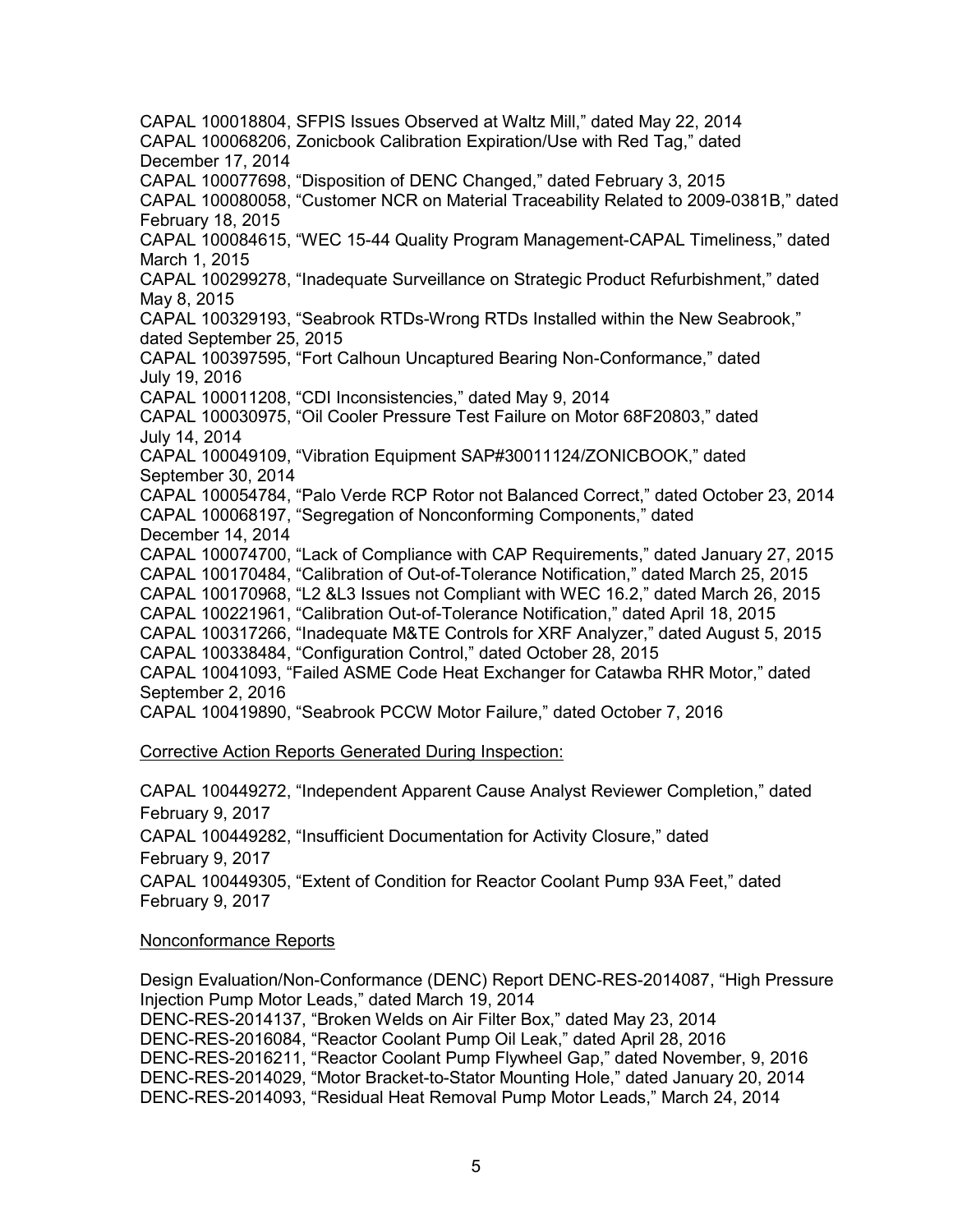CAPAL 100018804, SFPIS Issues Observed at Waltz Mill," dated May 22, 2014 CAPAL 100068206, Zonicbook Calibration Expiration/Use with Red Tag," dated December 17, 2014 CAPAL 100077698, "Disposition of DENC Changed," dated February 3, 2015 CAPAL 100080058, "Customer NCR on Material Traceability Related to 2009-0381B," dated February 18, 2015 CAPAL 100084615, "WEC 15-44 Quality Program Management-CAPAL Timeliness," dated March 1, 2015 CAPAL 100299278, "Inadequate Surveillance on Strategic Product Refurbishment," dated May 8, 2015 CAPAL 100329193, "Seabrook RTDs-Wrong RTDs Installed within the New Seabrook," dated September 25, 2015 CAPAL 100397595, "Fort Calhoun Uncaptured Bearing Non-Conformance," dated July 19, 2016 CAPAL 100011208, "CDI Inconsistencies," dated May 9, 2014 CAPAL 100030975, "Oil Cooler Pressure Test Failure on Motor 68F20803," dated July 14, 2014 CAPAL 100049109, "Vibration Equipment SAP#30011124/ZONICBOOK," dated September 30, 2014 CAPAL 100054784, "Palo Verde RCP Rotor not Balanced Correct," dated October 23, 2014 CAPAL 100068197, "Segregation of Nonconforming Components," dated December 14, 2014 CAPAL 100074700, "Lack of Compliance with CAP Requirements," dated January 27, 2015 CAPAL 100170484, "Calibration of Out-of-Tolerance Notification," dated March 25, 2015 CAPAL 100170968, "L2 &L3 Issues not Compliant with WEC 16.2," dated March 26, 2015 CAPAL 100221961, "Calibration Out-of-Tolerance Notification," dated April 18, 2015 CAPAL 100317266, "Inadequate M&TE Controls for XRF Analyzer," dated August 5, 2015 CAPAL 100338484, "Configuration Control," dated October 28, 2015 CAPAL 10041093, "Failed ASME Code Heat Exchanger for Catawba RHR Motor," dated September 2, 2016 CAPAL 100419890, "Seabrook PCCW Motor Failure," dated October 7, 2016

#### Corrective Action Reports Generated During Inspection:

CAPAL 100449272, "Independent Apparent Cause Analyst Reviewer Completion," dated February 9, 2017 CAPAL 100449282, "Insufficient Documentation for Activity Closure," dated February 9, 2017 CAPAL 100449305, "Extent of Condition for Reactor Coolant Pump 93A Feet," dated February 9, 2017

#### Nonconformance Reports

Design Evaluation/Non-Conformance (DENC) Report DENC-RES-2014087, "High Pressure Injection Pump Motor Leads," dated March 19, 2014 DENC-RES-2014137, "Broken Welds on Air Filter Box," dated May 23, 2014 DENC-RES-2016084, "Reactor Coolant Pump Oil Leak," dated April 28, 2016 DENC-RES-2016211, "Reactor Coolant Pump Flywheel Gap," dated November, 9, 2016 DENC-RES-2014029, "Motor Bracket-to-Stator Mounting Hole," dated January 20, 2014 DENC-RES-2014093, "Residual Heat Removal Pump Motor Leads," March 24, 2014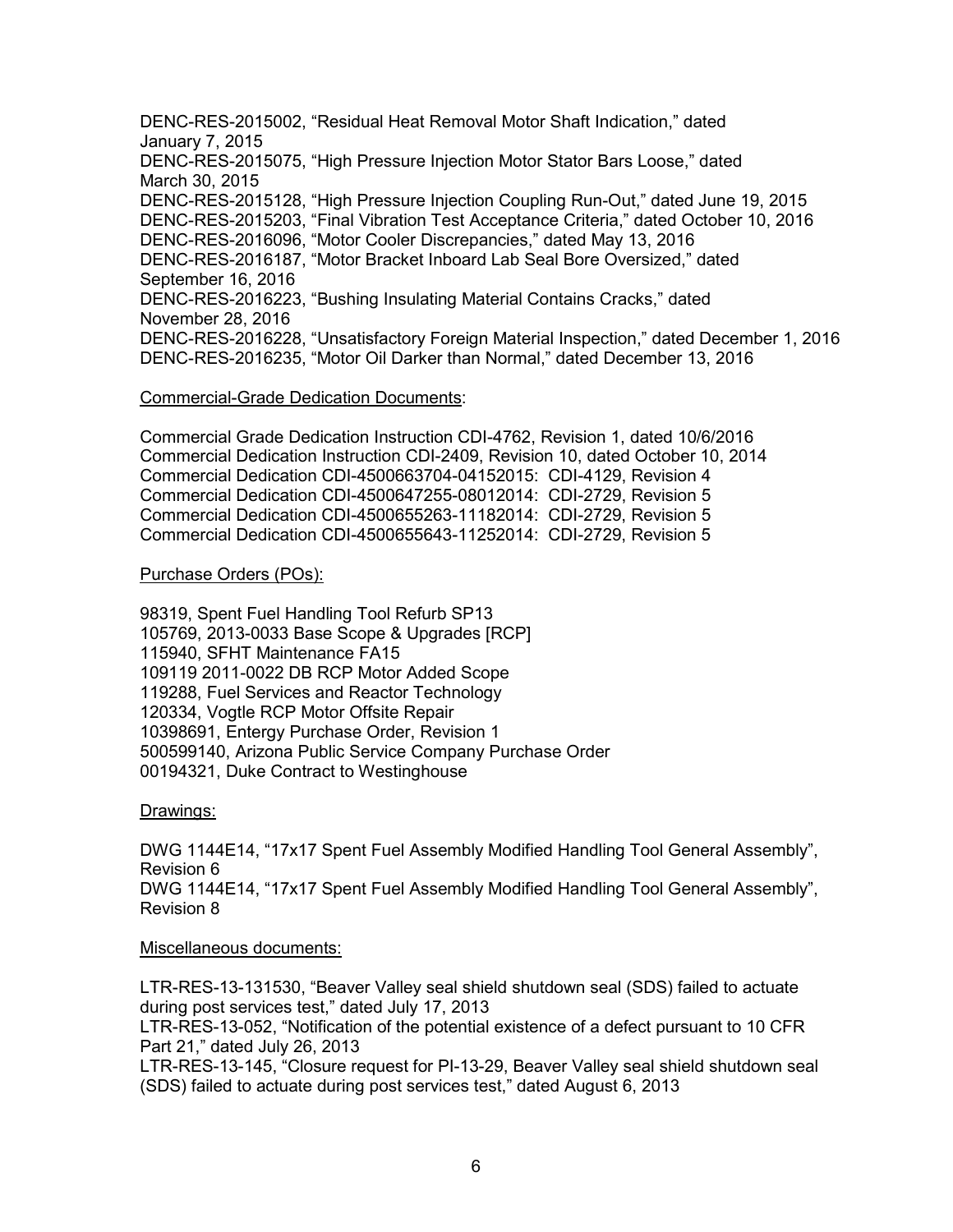DENC-RES-2015002, "Residual Heat Removal Motor Shaft Indication," dated January 7, 2015 DENC-RES-2015075, "High Pressure Injection Motor Stator Bars Loose," dated March 30, 2015 DENC-RES-2015128, "High Pressure Injection Coupling Run-Out," dated June 19, 2015 DENC-RES-2015203, "Final Vibration Test Acceptance Criteria," dated October 10, 2016 DENC-RES-2016096, "Motor Cooler Discrepancies," dated May 13, 2016 DENC-RES-2016187, "Motor Bracket Inboard Lab Seal Bore Oversized," dated September 16, 2016 DENC-RES-2016223, "Bushing Insulating Material Contains Cracks," dated November 28, 2016 DENC-RES-2016228, "Unsatisfactory Foreign Material Inspection," dated December 1, 2016 DENC-RES-2016235, "Motor Oil Darker than Normal," dated December 13, 2016

#### Commercial-Grade Dedication Documents:

Commercial Grade Dedication Instruction CDI-4762, Revision 1, dated 10/6/2016 Commercial Dedication Instruction CDI-2409, Revision 10, dated October 10, 2014 Commercial Dedication CDI-4500663704-04152015: CDI-4129, Revision 4 Commercial Dedication CDI-4500647255-08012014: CDI-2729, Revision 5 Commercial Dedication CDI-4500655263-11182014: CDI-2729, Revision 5 Commercial Dedication CDI-4500655643-11252014: CDI-2729, Revision 5

## Purchase Orders (POs):

98319, Spent Fuel Handling Tool Refurb SP13 105769, 2013-0033 Base Scope & Upgrades [RCP] 115940, SFHT Maintenance FA15 109119 2011-0022 DB RCP Motor Added Scope 119288, Fuel Services and Reactor Technology 120334, Vogtle RCP Motor Offsite Repair 10398691, Entergy Purchase Order, Revision 1 500599140, Arizona Public Service Company Purchase Order 00194321, Duke Contract to Westinghouse

Drawings:

DWG 1144E14, "17x17 Spent Fuel Assembly Modified Handling Tool General Assembly", Revision 6 DWG 1144E14, "17x17 Spent Fuel Assembly Modified Handling Tool General Assembly", Revision 8

# Miscellaneous documents:

LTR-RES-13-131530, "Beaver Valley seal shield shutdown seal (SDS) failed to actuate during post services test," dated July 17, 2013

LTR-RES-13-052, "Notification of the potential existence of a defect pursuant to 10 CFR Part 21," dated July 26, 2013

LTR-RES-13-145, "Closure request for PI-13-29, Beaver Valley seal shield shutdown seal (SDS) failed to actuate during post services test," dated August 6, 2013